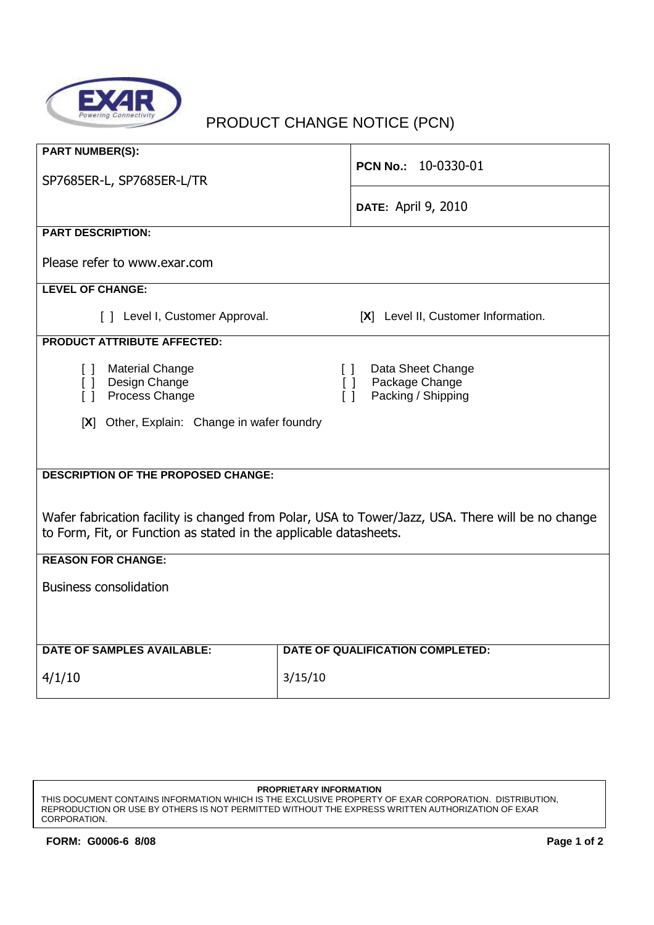

## PRODUCT CHANGE NOTICE (PCN)

| <b>PART NUMBER(S):</b>                                                                            |                                     |  |
|---------------------------------------------------------------------------------------------------|-------------------------------------|--|
|                                                                                                   | PCN No.: 10-0330-01                 |  |
| SP7685ER-L, SP7685ER-L/TR                                                                         |                                     |  |
|                                                                                                   |                                     |  |
|                                                                                                   | <b>DATE: April 9, 2010</b>          |  |
|                                                                                                   |                                     |  |
| <b>PART DESCRIPTION:</b>                                                                          |                                     |  |
|                                                                                                   |                                     |  |
| Please refer to www.exar.com                                                                      |                                     |  |
|                                                                                                   |                                     |  |
| <b>LEVEL OF CHANGE:</b>                                                                           |                                     |  |
| [ ] Level I, Customer Approval.                                                                   | [X] Level II, Customer Information. |  |
|                                                                                                   |                                     |  |
| <b>PRODUCT ATTRIBUTE AFFECTED:</b>                                                                |                                     |  |
|                                                                                                   |                                     |  |
| <b>Material Change</b><br>$\Box$                                                                  | Data Sheet Change<br>$\Box$         |  |
| [] Design Change                                                                                  | Package Change<br>$\Box$            |  |
| Process Change<br>$\Box$                                                                          | Packing / Shipping<br>$\Box$        |  |
|                                                                                                   |                                     |  |
| [X] Other, Explain: Change in wafer foundry                                                       |                                     |  |
|                                                                                                   |                                     |  |
|                                                                                                   |                                     |  |
| <b>DESCRIPTION OF THE PROPOSED CHANGE:</b>                                                        |                                     |  |
|                                                                                                   |                                     |  |
|                                                                                                   |                                     |  |
| Wafer fabrication facility is changed from Polar, USA to Tower/Jazz, USA. There will be no change |                                     |  |
| to Form, Fit, or Function as stated in the applicable datasheets.                                 |                                     |  |
|                                                                                                   |                                     |  |
| <b>REASON FOR CHANGE:</b>                                                                         |                                     |  |
|                                                                                                   |                                     |  |
| <b>Business consolidation</b>                                                                     |                                     |  |
|                                                                                                   |                                     |  |
|                                                                                                   |                                     |  |
|                                                                                                   |                                     |  |
|                                                                                                   |                                     |  |
| <b>DATE OF SAMPLES AVAILABLE:</b>                                                                 | DATE OF QUALIFICATION COMPLETED:    |  |
| 4/1/10                                                                                            | 3/15/10                             |  |
|                                                                                                   |                                     |  |

## **PROPRIETARY INFORMATION**

THIS DOCUMENT CONTAINS INFORMATION WHICH IS THE EXCLUSIVE PROPERTY OF EXAR CORPORATION. DISTRIBUTION, REPRODUCTION OR USE BY OTHERS IS NOT PERMITTED WITHOUT THE EXPRESS WRITTEN AUTHORIZATION OF EXAR CORPORATION.